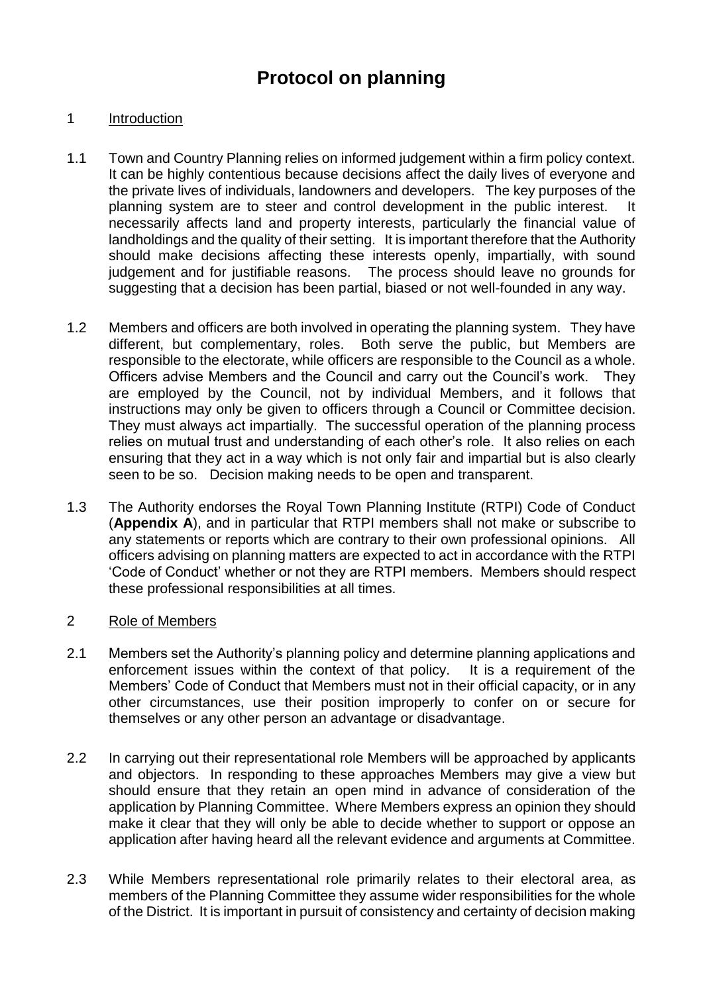# **Protocol on planning**

# 1 Introduction

- 1.1 Town and Country Planning relies on informed judgement within a firm policy context. It can be highly contentious because decisions affect the daily lives of everyone and the private lives of individuals, landowners and developers. The key purposes of the planning system are to steer and control development in the public interest. It necessarily affects land and property interests, particularly the financial value of landholdings and the quality of their setting. It is important therefore that the Authority should make decisions affecting these interests openly, impartially, with sound judgement and for justifiable reasons. The process should leave no grounds for suggesting that a decision has been partial, biased or not well-founded in any way.
- 1.2 Members and officers are both involved in operating the planning system. They have different, but complementary, roles. Both serve the public, but Members are responsible to the electorate, while officers are responsible to the Council as a whole. Officers advise Members and the Council and carry out the Council's work. They are employed by the Council, not by individual Members, and it follows that instructions may only be given to officers through a Council or Committee decision. They must always act impartially. The successful operation of the planning process relies on mutual trust and understanding of each other's role. It also relies on each ensuring that they act in a way which is not only fair and impartial but is also clearly seen to be so. Decision making needs to be open and transparent.
- 1.3 The Authority endorses the Royal Town Planning Institute (RTPI) Code of Conduct (**Appendix A**), and in particular that RTPI members shall not make or subscribe to any statements or reports which are contrary to their own professional opinions. All officers advising on planning matters are expected to act in accordance with the RTPI 'Code of Conduct' whether or not they are RTPI members. Members should respect these professional responsibilities at all times.

#### 2 Role of Members

- 2.1 Members set the Authority's planning policy and determine planning applications and enforcement issues within the context of that policy. It is a requirement of the Members' Code of Conduct that Members must not in their official capacity, or in any other circumstances, use their position improperly to confer on or secure for themselves or any other person an advantage or disadvantage.
- 2.2 In carrying out their representational role Members will be approached by applicants and objectors. In responding to these approaches Members may give a view but should ensure that they retain an open mind in advance of consideration of the application by Planning Committee. Where Members express an opinion they should make it clear that they will only be able to decide whether to support or oppose an application after having heard all the relevant evidence and arguments at Committee.
- 2.3 While Members representational role primarily relates to their electoral area, as members of the Planning Committee they assume wider responsibilities for the whole of the District. It is important in pursuit of consistency and certainty of decision making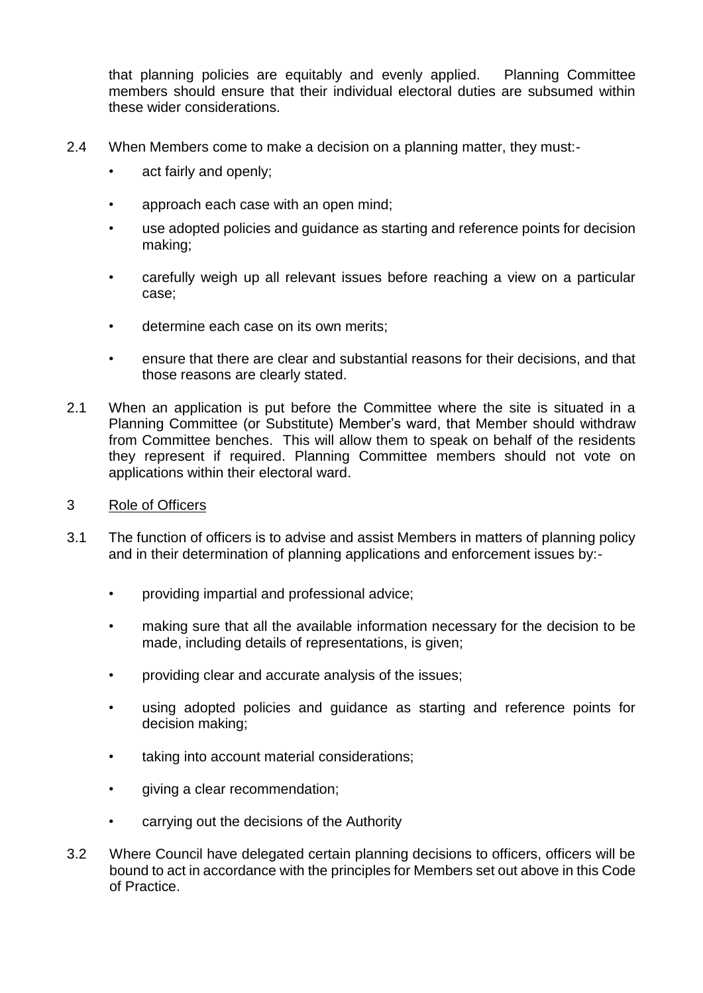that planning policies are equitably and evenly applied. Planning Committee members should ensure that their individual electoral duties are subsumed within these wider considerations.

- 2.4 When Members come to make a decision on a planning matter, they must:
	- act fairly and openly;
	- approach each case with an open mind;
	- use adopted policies and quidance as starting and reference points for decision making;
	- carefully weigh up all relevant issues before reaching a view on a particular case;
	- determine each case on its own merits;
	- ensure that there are clear and substantial reasons for their decisions, and that those reasons are clearly stated.
- 2.1 When an application is put before the Committee where the site is situated in a Planning Committee (or Substitute) Member's ward, that Member should withdraw from Committee benches. This will allow them to speak on behalf of the residents they represent if required. Planning Committee members should not vote on applications within their electoral ward.
- 3 Role of Officers
- 3.1 The function of officers is to advise and assist Members in matters of planning policy and in their determination of planning applications and enforcement issues by:-
	- providing impartial and professional advice;
	- making sure that all the available information necessary for the decision to be made, including details of representations, is given;
	- providing clear and accurate analysis of the issues;
	- using adopted policies and guidance as starting and reference points for decision making;
	- taking into account material considerations;
	- giving a clear recommendation;
	- carrying out the decisions of the Authority
- 3.2 Where Council have delegated certain planning decisions to officers, officers will be bound to act in accordance with the principles for Members set out above in this Code of Practice.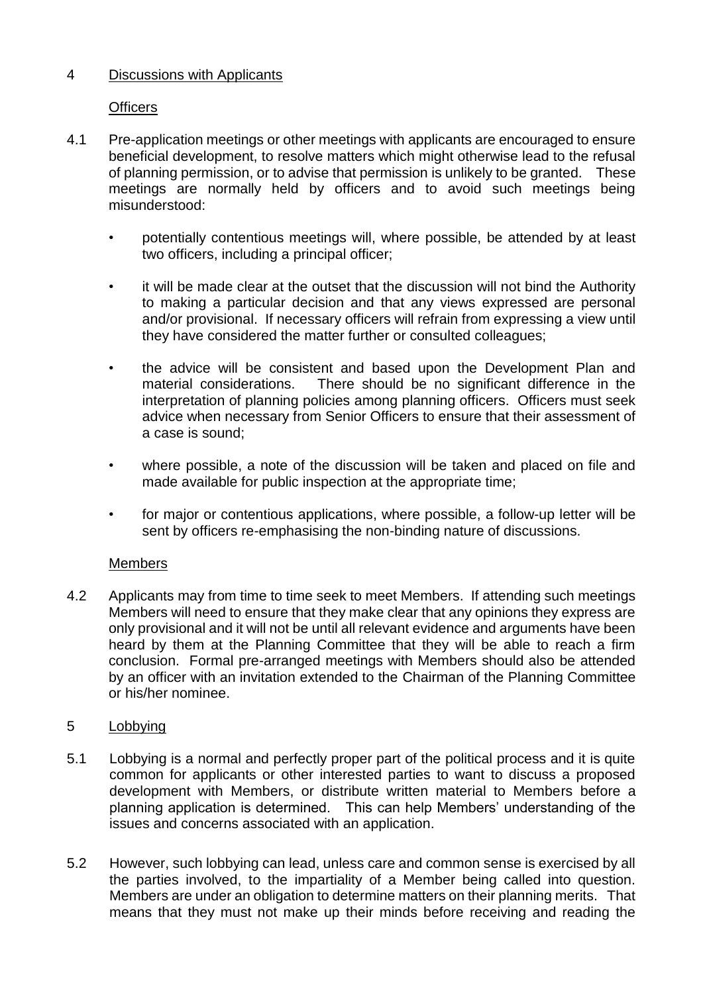# 4 Discussions with Applicants

# **Officers**

- 4.1 Pre-application meetings or other meetings with applicants are encouraged to ensure beneficial development, to resolve matters which might otherwise lead to the refusal of planning permission, or to advise that permission is unlikely to be granted. These meetings are normally held by officers and to avoid such meetings being misunderstood:
	- potentially contentious meetings will, where possible, be attended by at least two officers, including a principal officer;
	- it will be made clear at the outset that the discussion will not bind the Authority to making a particular decision and that any views expressed are personal and/or provisional. If necessary officers will refrain from expressing a view until they have considered the matter further or consulted colleagues;
	- the advice will be consistent and based upon the Development Plan and material considerations. There should be no significant difference in the interpretation of planning policies among planning officers. Officers must seek advice when necessary from Senior Officers to ensure that their assessment of a case is sound;
	- where possible, a note of the discussion will be taken and placed on file and made available for public inspection at the appropriate time;
	- for major or contentious applications, where possible, a follow-up letter will be sent by officers re-emphasising the non-binding nature of discussions.

#### Members

4.2 Applicants may from time to time seek to meet Members. If attending such meetings Members will need to ensure that they make clear that any opinions they express are only provisional and it will not be until all relevant evidence and arguments have been heard by them at the Planning Committee that they will be able to reach a firm conclusion. Formal pre-arranged meetings with Members should also be attended by an officer with an invitation extended to the Chairman of the Planning Committee or his/her nominee.

#### 5 Lobbying

- 5.1 Lobbying is a normal and perfectly proper part of the political process and it is quite common for applicants or other interested parties to want to discuss a proposed development with Members, or distribute written material to Members before a planning application is determined. This can help Members' understanding of the issues and concerns associated with an application.
- 5.2 However, such lobbying can lead, unless care and common sense is exercised by all the parties involved, to the impartiality of a Member being called into question. Members are under an obligation to determine matters on their planning merits. That means that they must not make up their minds before receiving and reading the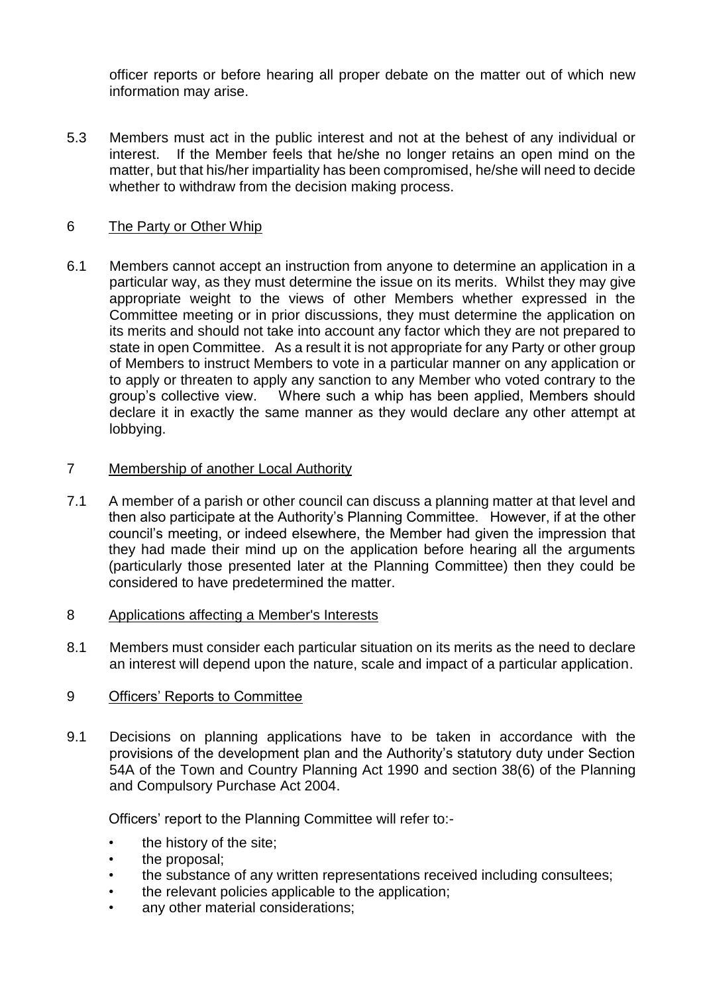officer reports or before hearing all proper debate on the matter out of which new information may arise.

5.3 Members must act in the public interest and not at the behest of any individual or interest. If the Member feels that he/she no longer retains an open mind on the matter, but that his/her impartiality has been compromised, he/she will need to decide whether to withdraw from the decision making process.

# 6 The Party or Other Whip

6.1 Members cannot accept an instruction from anyone to determine an application in a particular way, as they must determine the issue on its merits. Whilst they may give appropriate weight to the views of other Members whether expressed in the Committee meeting or in prior discussions, they must determine the application on its merits and should not take into account any factor which they are not prepared to state in open Committee. As a result it is not appropriate for any Party or other group of Members to instruct Members to vote in a particular manner on any application or to apply or threaten to apply any sanction to any Member who voted contrary to the group's collective view. Where such a whip has been applied, Members should declare it in exactly the same manner as they would declare any other attempt at lobbying.

#### 7 Membership of another Local Authority

- 7.1 A member of a parish or other council can discuss a planning matter at that level and then also participate at the Authority's Planning Committee. However, if at the other council's meeting, or indeed elsewhere, the Member had given the impression that they had made their mind up on the application before hearing all the arguments (particularly those presented later at the Planning Committee) then they could be considered to have predetermined the matter.
- 8 Applications affecting a Member's Interests
- 8.1 Members must consider each particular situation on its merits as the need to declare an interest will depend upon the nature, scale and impact of a particular application.

#### 9 Officers' Reports to Committee

9.1 Decisions on planning applications have to be taken in accordance with the provisions of the development plan and the Authority's statutory duty under Section 54A of the Town and Country Planning Act 1990 and section 38(6) of the Planning and Compulsory Purchase Act 2004.

Officers' report to the Planning Committee will refer to:-

- the history of the site;
- the proposal;
- the substance of any written representations received including consultees;
- the relevant policies applicable to the application;
- any other material considerations;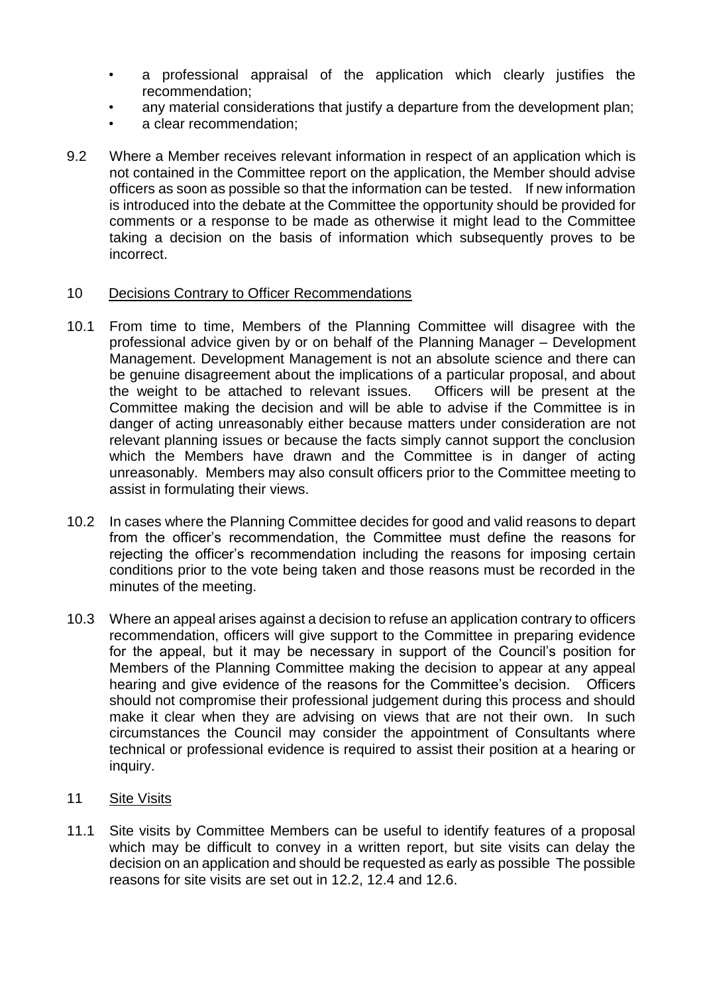- a professional appraisal of the application which clearly justifies the recommendation;
- any material considerations that justify a departure from the development plan;
- a clear recommendation:
- 9.2 Where a Member receives relevant information in respect of an application which is not contained in the Committee report on the application, the Member should advise officers as soon as possible so that the information can be tested. If new information is introduced into the debate at the Committee the opportunity should be provided for comments or a response to be made as otherwise it might lead to the Committee taking a decision on the basis of information which subsequently proves to be incorrect.

#### 10 Decisions Contrary to Officer Recommendations

- 10.1 From time to time, Members of the Planning Committee will disagree with the professional advice given by or on behalf of the Planning Manager – Development Management. Development Management is not an absolute science and there can be genuine disagreement about the implications of a particular proposal, and about the weight to be attached to relevant issues. Officers will be present at the Committee making the decision and will be able to advise if the Committee is in danger of acting unreasonably either because matters under consideration are not relevant planning issues or because the facts simply cannot support the conclusion which the Members have drawn and the Committee is in danger of acting unreasonably. Members may also consult officers prior to the Committee meeting to assist in formulating their views.
- 10.2 In cases where the Planning Committee decides for good and valid reasons to depart from the officer's recommendation, the Committee must define the reasons for rejecting the officer's recommendation including the reasons for imposing certain conditions prior to the vote being taken and those reasons must be recorded in the minutes of the meeting.
- 10.3 Where an appeal arises against a decision to refuse an application contrary to officers recommendation, officers will give support to the Committee in preparing evidence for the appeal, but it may be necessary in support of the Council's position for Members of the Planning Committee making the decision to appear at any appeal hearing and give evidence of the reasons for the Committee's decision. Officers should not compromise their professional judgement during this process and should make it clear when they are advising on views that are not their own. In such circumstances the Council may consider the appointment of Consultants where technical or professional evidence is required to assist their position at a hearing or inquiry.
- 11 Site Visits
- 11.1 Site visits by Committee Members can be useful to identify features of a proposal which may be difficult to convey in a written report, but site visits can delay the decision on an application and should be requested as early as possible The possible reasons for site visits are set out in 12.2, 12.4 and 12.6.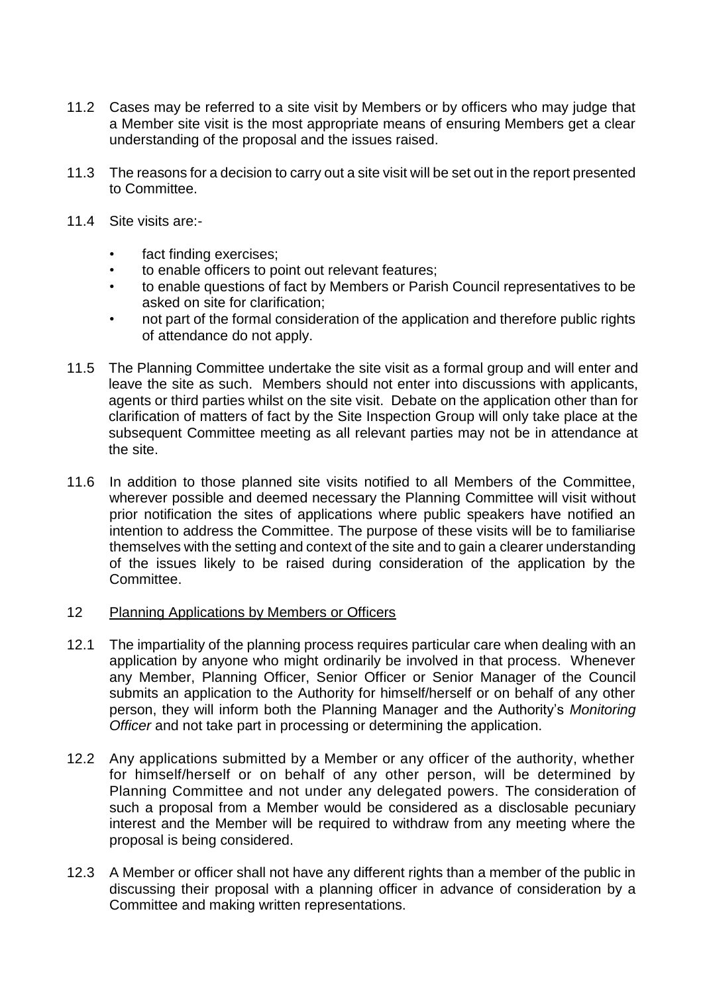- 11.2 Cases may be referred to a site visit by Members or by officers who may judge that a Member site visit is the most appropriate means of ensuring Members get a clear understanding of the proposal and the issues raised.
- 11.3 The reasons for a decision to carry out a site visit will be set out in the report presented to Committee.
- 11.4 Site visits are:
	- fact finding exercises:
	- to enable officers to point out relevant features;
	- to enable questions of fact by Members or Parish Council representatives to be asked on site for clarification;
	- not part of the formal consideration of the application and therefore public rights of attendance do not apply.
- 11.5 The Planning Committee undertake the site visit as a formal group and will enter and leave the site as such. Members should not enter into discussions with applicants, agents or third parties whilst on the site visit. Debate on the application other than for clarification of matters of fact by the Site Inspection Group will only take place at the subsequent Committee meeting as all relevant parties may not be in attendance at the site.
- 11.6 In addition to those planned site visits notified to all Members of the Committee, wherever possible and deemed necessary the Planning Committee will visit without prior notification the sites of applications where public speakers have notified an intention to address the Committee. The purpose of these visits will be to familiarise themselves with the setting and context of the site and to gain a clearer understanding of the issues likely to be raised during consideration of the application by the Committee.

#### 12 Planning Applications by Members or Officers

- 12.1 The impartiality of the planning process requires particular care when dealing with an application by anyone who might ordinarily be involved in that process. Whenever any Member, Planning Officer, Senior Officer or Senior Manager of the Council submits an application to the Authority for himself/herself or on behalf of any other person, they will inform both the Planning Manager and the Authority's *Monitoring Officer* and not take part in processing or determining the application.
- 12.2 Any applications submitted by a Member or any officer of the authority, whether for himself/herself or on behalf of any other person, will be determined by Planning Committee and not under any delegated powers. The consideration of such a proposal from a Member would be considered as a disclosable pecuniary interest and the Member will be required to withdraw from any meeting where the proposal is being considered.
- 12.3 A Member or officer shall not have any different rights than a member of the public in discussing their proposal with a planning officer in advance of consideration by a Committee and making written representations.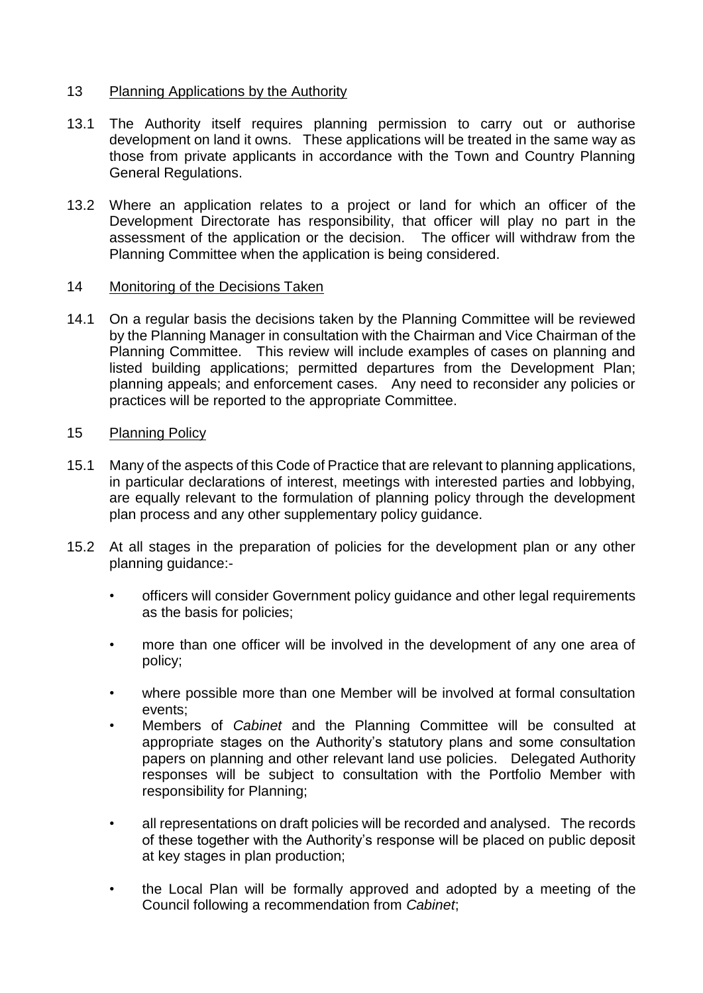#### 13 Planning Applications by the Authority

- 13.1 The Authority itself requires planning permission to carry out or authorise development on land it owns. These applications will be treated in the same way as those from private applicants in accordance with the Town and Country Planning General Regulations.
- 13.2 Where an application relates to a project or land for which an officer of the Development Directorate has responsibility, that officer will play no part in the assessment of the application or the decision. The officer will withdraw from the Planning Committee when the application is being considered.

#### 14 Monitoring of the Decisions Taken

14.1 On a regular basis the decisions taken by the Planning Committee will be reviewed by the Planning Manager in consultation with the Chairman and Vice Chairman of the Planning Committee. This review will include examples of cases on planning and listed building applications; permitted departures from the Development Plan; planning appeals; and enforcement cases. Any need to reconsider any policies or practices will be reported to the appropriate Committee.

# 15 Planning Policy

- 15.1 Many of the aspects of this Code of Practice that are relevant to planning applications, in particular declarations of interest, meetings with interested parties and lobbying, are equally relevant to the formulation of planning policy through the development plan process and any other supplementary policy guidance.
- 15.2 At all stages in the preparation of policies for the development plan or any other planning guidance:-
	- officers will consider Government policy guidance and other legal requirements as the basis for policies;
	- more than one officer will be involved in the development of any one area of policy;
	- where possible more than one Member will be involved at formal consultation events;
	- Members of *Cabinet* and the Planning Committee will be consulted at appropriate stages on the Authority's statutory plans and some consultation papers on planning and other relevant land use policies. Delegated Authority responses will be subject to consultation with the Portfolio Member with responsibility for Planning;
	- all representations on draft policies will be recorded and analysed. The records of these together with the Authority's response will be placed on public deposit at key stages in plan production;
	- the Local Plan will be formally approved and adopted by a meeting of the Council following a recommendation from *Cabinet*;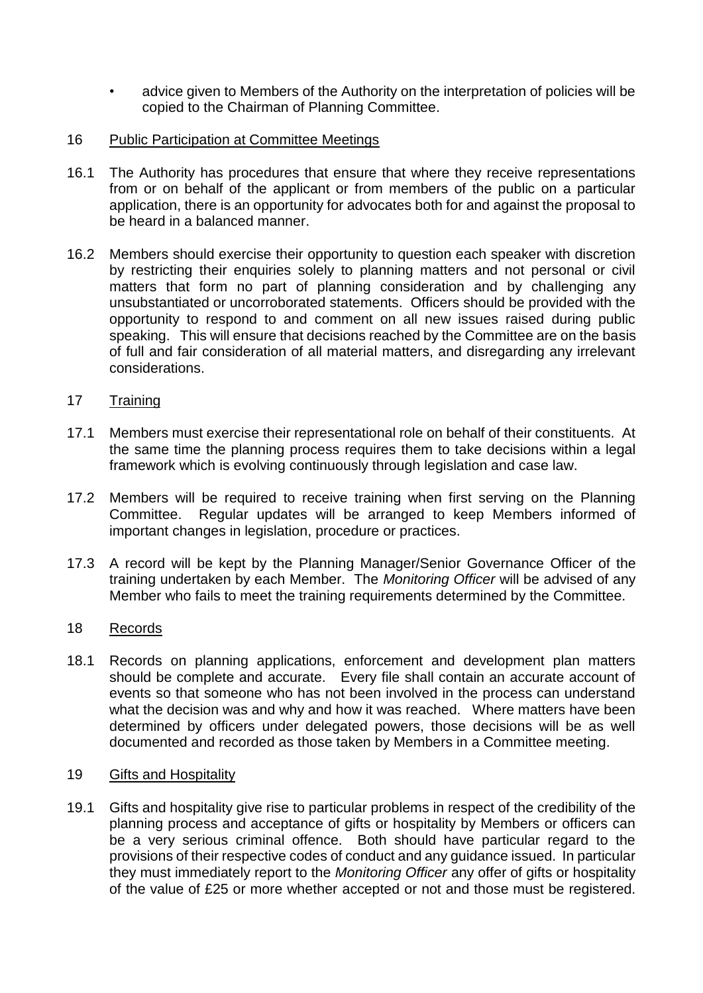- advice given to Members of the Authority on the interpretation of policies will be copied to the Chairman of Planning Committee.
- 16 Public Participation at Committee Meetings
- 16.1 The Authority has procedures that ensure that where they receive representations from or on behalf of the applicant or from members of the public on a particular application, there is an opportunity for advocates both for and against the proposal to be heard in a balanced manner.
- 16.2 Members should exercise their opportunity to question each speaker with discretion by restricting their enquiries solely to planning matters and not personal or civil matters that form no part of planning consideration and by challenging any unsubstantiated or uncorroborated statements. Officers should be provided with the opportunity to respond to and comment on all new issues raised during public speaking. This will ensure that decisions reached by the Committee are on the basis of full and fair consideration of all material matters, and disregarding any irrelevant considerations.
- 17 Training
- 17.1 Members must exercise their representational role on behalf of their constituents. At the same time the planning process requires them to take decisions within a legal framework which is evolving continuously through legislation and case law.
- 17.2 Members will be required to receive training when first serving on the Planning Committee. Regular updates will be arranged to keep Members informed of important changes in legislation, procedure or practices.
- 17.3 A record will be kept by the Planning Manager/Senior Governance Officer of the training undertaken by each Member. The *Monitoring Officer* will be advised of any Member who fails to meet the training requirements determined by the Committee.
- 18 Records
- 18.1 Records on planning applications, enforcement and development plan matters should be complete and accurate. Every file shall contain an accurate account of events so that someone who has not been involved in the process can understand what the decision was and why and how it was reached. Where matters have been determined by officers under delegated powers, those decisions will be as well documented and recorded as those taken by Members in a Committee meeting.
- 19 Gifts and Hospitality
- 19.1 Gifts and hospitality give rise to particular problems in respect of the credibility of the planning process and acceptance of gifts or hospitality by Members or officers can be a very serious criminal offence. Both should have particular regard to the provisions of their respective codes of conduct and any guidance issued. In particular they must immediately report to the *Monitoring Officer* any offer of gifts or hospitality of the value of £25 or more whether accepted or not and those must be registered.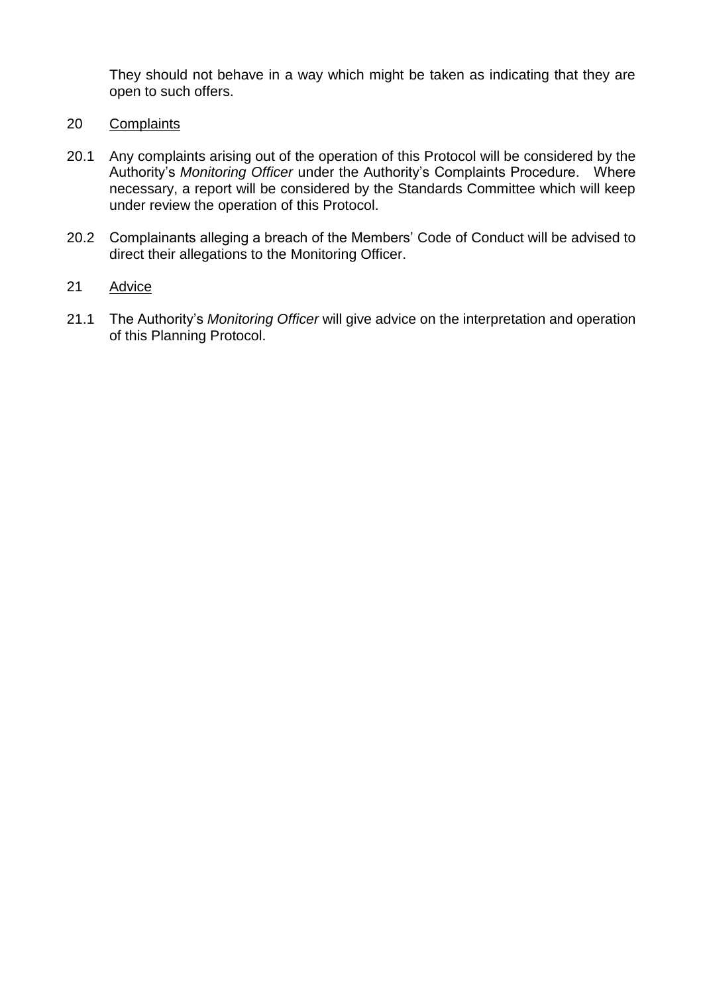They should not behave in a way which might be taken as indicating that they are open to such offers.

- 20 Complaints
- 20.1 Any complaints arising out of the operation of this Protocol will be considered by the Authority's *Monitoring Officer* under the Authority's Complaints Procedure. Where necessary, a report will be considered by the Standards Committee which will keep under review the operation of this Protocol.
- 20.2 Complainants alleging a breach of the Members' Code of Conduct will be advised to direct their allegations to the Monitoring Officer.

#### 21 Advice

21.1 The Authority's *Monitoring Officer* will give advice on the interpretation and operation of this Planning Protocol.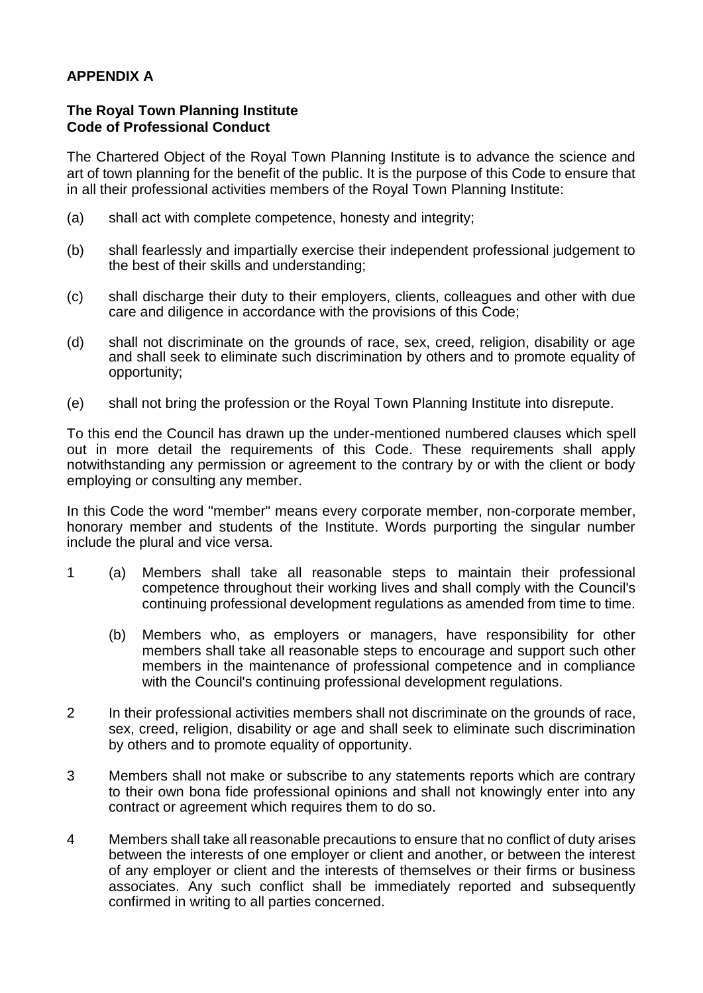# **APPENDIX A**

#### **The Royal Town Planning Institute Code of Professional Conduct**

The Chartered Object of the Royal Town Planning Institute is to advance the science and art of town planning for the benefit of the public. It is the purpose of this Code to ensure that in all their professional activities members of the Royal Town Planning Institute:

- (a) shall act with complete competence, honesty and integrity;
- (b) shall fearlessly and impartially exercise their independent professional judgement to the best of their skills and understanding;
- (c) shall discharge their duty to their employers, clients, colleagues and other with due care and diligence in accordance with the provisions of this Code;
- (d) shall not discriminate on the grounds of race, sex, creed, religion, disability or age and shall seek to eliminate such discrimination by others and to promote equality of opportunity;
- (e) shall not bring the profession or the Royal Town Planning Institute into disrepute.

To this end the Council has drawn up the under-mentioned numbered clauses which spell out in more detail the requirements of this Code. These requirements shall apply notwithstanding any permission or agreement to the contrary by or with the client or body employing or consulting any member.

In this Code the word "member" means every corporate member, non-corporate member, honorary member and students of the Institute. Words purporting the singular number include the plural and vice versa.

- 1 (a) Members shall take all reasonable steps to maintain their professional competence throughout their working lives and shall comply with the Council's continuing professional development regulations as amended from time to time.
	- (b) Members who, as employers or managers, have responsibility for other members shall take all reasonable steps to encourage and support such other members in the maintenance of professional competence and in compliance with the Council's continuing professional development regulations.
- 2 In their professional activities members shall not discriminate on the grounds of race, sex, creed, religion, disability or age and shall seek to eliminate such discrimination by others and to promote equality of opportunity.
- 3 Members shall not make or subscribe to any statements reports which are contrary to their own bona fide professional opinions and shall not knowingly enter into any contract or agreement which requires them to do so.
- 4 Members shall take all reasonable precautions to ensure that no conflict of duty arises between the interests of one employer or client and another, or between the interest of any employer or client and the interests of themselves or their firms or business associates. Any such conflict shall be immediately reported and subsequently confirmed in writing to all parties concerned.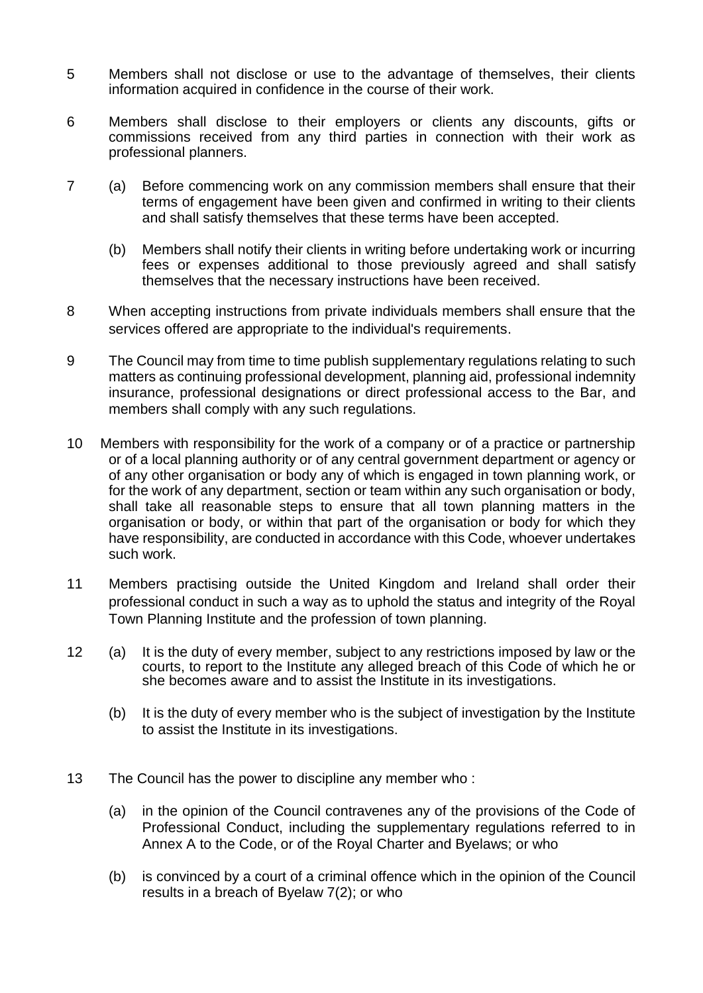- 5 Members shall not disclose or use to the advantage of themselves, their clients information acquired in confidence in the course of their work.
- 6 Members shall disclose to their employers or clients any discounts, gifts or commissions received from any third parties in connection with their work as professional planners.
- 7 (a) Before commencing work on any commission members shall ensure that their terms of engagement have been given and confirmed in writing to their clients and shall satisfy themselves that these terms have been accepted.
	- (b) Members shall notify their clients in writing before undertaking work or incurring fees or expenses additional to those previously agreed and shall satisfy themselves that the necessary instructions have been received.
- 8 When accepting instructions from private individuals members shall ensure that the services offered are appropriate to the individual's requirements.
- 9 The Council may from time to time publish supplementary regulations relating to such matters as continuing professional development, planning aid, professional indemnity insurance, professional designations or direct professional access to the Bar, and members shall comply with any such regulations.
- 10 Members with responsibility for the work of a company or of a practice or partnership or of a local planning authority or of any central government department or agency or of any other organisation or body any of which is engaged in town planning work, or for the work of any department, section or team within any such organisation or body, shall take all reasonable steps to ensure that all town planning matters in the organisation or body, or within that part of the organisation or body for which they have responsibility, are conducted in accordance with this Code, whoever undertakes such work.
- 11 Members practising outside the United Kingdom and Ireland shall order their professional conduct in such a way as to uphold the status and integrity of the Royal Town Planning Institute and the profession of town planning.
- 12 (a) It is the duty of every member, subject to any restrictions imposed by law or the courts, to report to the Institute any alleged breach of this Code of which he or she becomes aware and to assist the Institute in its investigations.
	- (b) It is the duty of every member who is the subject of investigation by the Institute to assist the Institute in its investigations.
- 13 The Council has the power to discipline any member who :
	- (a) in the opinion of the Council contravenes any of the provisions of the Code of Professional Conduct, including the supplementary regulations referred to in Annex A to the Code, or of the Royal Charter and Byelaws; or who
	- (b) is convinced by a court of a criminal offence which in the opinion of the Council results in a breach of Byelaw 7(2); or who